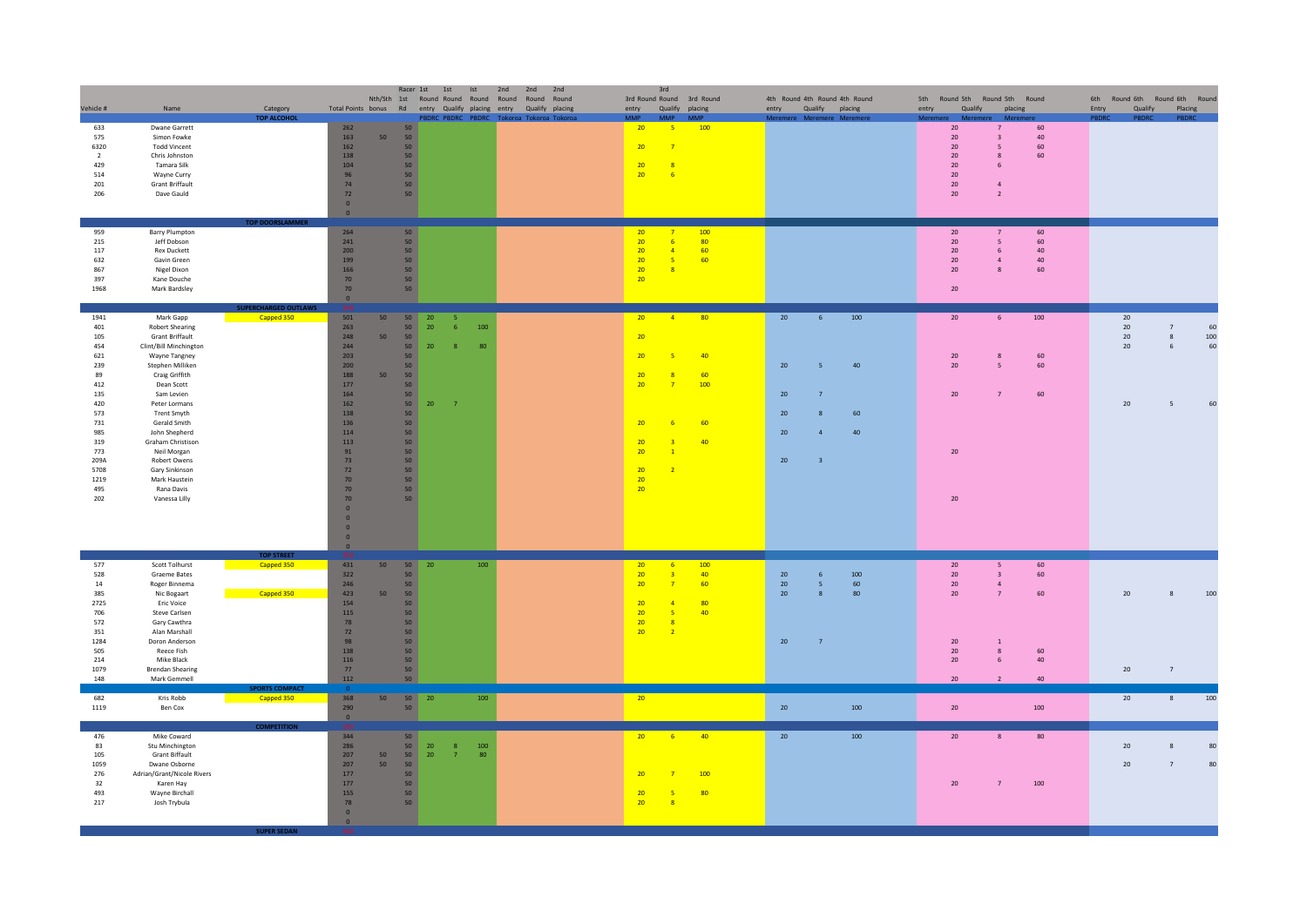|                |                                         |                                      |                                                    |                 | Racer 1st             | 1st<br>Ist                     | 2nd<br>2nd<br>2nd<br>Nth/Sth 1st Round Round Round Round Round Round |                       | 3rd                                                 | 3rd Round Round 3rd Round |    |                | 4th Round 4th Round 4th Round |                 |                                           | 5th Round 5th Round 5th Round |                  | 6th Round 6th Round 6th Round |     |
|----------------|-----------------------------------------|--------------------------------------|----------------------------------------------------|-----------------|-----------------------|--------------------------------|----------------------------------------------------------------------|-----------------------|-----------------------------------------------------|---------------------------|----|----------------|-------------------------------|-----------------|-------------------------------------------|-------------------------------|------------------|-------------------------------|-----|
| Vehicle #      | Name                                    | Category                             |                                                    |                 |                       |                                | Total Points bonus Rd entry Qualify placing entry Qualify placing    | entry                 |                                                     | Qualify placing           |    |                | entry Qualify placing         | entry           | Qualify                                   | placing                       | Entry<br>Qualify | Placing                       |     |
|                |                                         | <b>TOP ALCOHOL</b>                   |                                                    |                 | 50                    |                                | PBDRC PBDRC PBDRC Tokoroa Tokoroa Tokor                              |                       |                                                     |                           |    |                | nere Meremere Meremen         |                 |                                           |                               | <b>PRDRC</b>     | <b>PRDR</b>                   |     |
| 633<br>575     | Dwane Garrett<br>Simon Fowke            |                                      | 262<br>163                                         | 50              | 50                    |                                |                                                                      | 20 <sup>2</sup>       | $-5$                                                | 100                       |    |                |                               | 20<br>20        | $\overline{7}$<br>$\overline{\mathbf{3}}$ | 60<br>40                      |                  |                               |     |
| 6320           | <b>Todd Vincent</b>                     |                                      | 162                                                |                 | 50                    |                                |                                                                      | 20                    | $\overline{7}$                                      |                           |    |                |                               | 20              | 5                                         | 60                            |                  |                               |     |
| $\overline{2}$ | Chris Johnston                          |                                      | 138                                                |                 | 50                    |                                |                                                                      |                       |                                                     |                           |    |                |                               | $20\,$          | 8                                         | 60                            |                  |                               |     |
| 429            | Tamara Silk                             |                                      | 104                                                |                 | 50                    |                                |                                                                      | 20                    | $\overline{\mathbf{8}}$                             |                           |    |                |                               | $20\,$          | 6                                         |                               |                  |                               |     |
| 514<br>201     | Wayne Curry<br><b>Grant Briffault</b>   |                                      | 96<br>74                                           |                 | 50<br>50              |                                |                                                                      | 20                    | $-6$                                                |                           |    |                |                               | 20<br>20        | $\overline{a}$                            |                               |                  |                               |     |
| 206            | Dave Gauld                              |                                      | 72                                                 |                 | 50                    |                                |                                                                      |                       |                                                     |                           |    |                |                               | 20              | $\overline{2}$                            |                               |                  |                               |     |
|                |                                         |                                      | $\overline{\mathbf{0}}$                            |                 |                       |                                |                                                                      |                       |                                                     |                           |    |                |                               |                 |                                           |                               |                  |                               |     |
|                |                                         | TOP DOORSLAMMER                      | $\overline{\mathbf{0}}$                            |                 |                       |                                |                                                                      |                       |                                                     |                           |    |                |                               |                 |                                           |                               |                  |                               |     |
| 959            | Barry Plumpton                          |                                      | 264                                                |                 | 50                    |                                |                                                                      | 20 <sup>°</sup>       | - 7                                                 | 100                       |    |                |                               | 20              | $\overline{7}$                            | 60                            |                  |                               |     |
| 215            | Jeff Dobson                             |                                      | 241                                                |                 | 50                    |                                |                                                                      | 20                    | 6                                                   | 80                        |    |                |                               | 20              | $\overline{\phantom{0}}$                  | 60                            |                  |                               |     |
| 117            | <b>Rex Duckett</b>                      |                                      | 200                                                |                 | 50                    |                                |                                                                      | 20                    | $\overline{4}$                                      | 60                        |    |                |                               | $20\,$          | 6                                         | 40                            |                  |                               |     |
| 632<br>867     | Gavin Green<br>Nigel Dixon              |                                      | 199<br>166                                         |                 | 50<br>50              |                                |                                                                      | 20<br>20 <sub>2</sub> | 5<br>$\mathbf{R}$                                   | 60                        |    |                |                               | 20<br>20        | $\overline{a}$<br>$\mathbf{R}$            | 40<br>60                      |                  |                               |     |
| 397            | Kane Douche                             |                                      | 70                                                 |                 | 50                    |                                |                                                                      | 20                    |                                                     |                           |    |                |                               |                 |                                           |                               |                  |                               |     |
| 1968           | Mark Bardsley                           |                                      | 70                                                 |                 | 50                    |                                |                                                                      |                       |                                                     |                           |    |                |                               | 20 <sup>°</sup> |                                           |                               |                  |                               |     |
|                |                                         |                                      | $\overline{0}$                                     |                 |                       |                                |                                                                      |                       |                                                     |                           |    |                |                               |                 |                                           |                               |                  |                               |     |
| 1941           | Mark Gapp                               | <b>RCHARGED OUTLAW</b><br>Capped 350 | 501                                                | 50              | 50<br>${\bf 20}$      | $-5$                           |                                                                      | 20                    | $-4$                                                | 80                        | 20 | 6              | 100                           | 20 <sub>2</sub> |                                           | 100<br>6                      | 20               |                               |     |
| 401            | <b>Robert Shearing</b>                  |                                      | 263                                                |                 | 50<br>20              | 100<br>-6                      |                                                                      |                       |                                                     |                           |    |                |                               |                 |                                           |                               | $20\,$           | $\overline{7}$                | 60  |
| 105            | <b>Grant Briffault</b>                  |                                      | 248                                                | 50              | 50                    |                                |                                                                      | 20                    |                                                     |                           |    |                |                               |                 |                                           |                               | 20               | 8                             | 100 |
| 454            | Clint/Bill Minchington                  |                                      | 244                                                |                 | 50<br>${\bf 20}$      | 8                              | 80                                                                   |                       |                                                     |                           |    |                |                               |                 |                                           |                               | $20\,$           | $\sqrt{6}$                    | 60  |
| 621<br>239     | Wayne Tangney<br>Stephen Milliken       |                                      | 203                                                |                 | 50<br>50              |                                |                                                                      | 20                    | $\overline{5}$                                      | 40                        | 20 | 5 <sub>1</sub> | 40                            | $20\,$<br>20    | 8<br>5                                    | 60<br>60                      |                  |                               |     |
| 89             | Craig Griffith                          |                                      | 200<br>188                                         | 50              | 50                    |                                |                                                                      | 20                    | $\overline{\mathbf{8}}$                             | 60                        |    |                |                               |                 |                                           |                               |                  |                               |     |
| 412            | Dean Scott                              |                                      | 177                                                |                 | 50                    |                                |                                                                      | 20                    | $\overline{7}$                                      | 100                       |    |                |                               |                 |                                           |                               |                  |                               |     |
| 135            | Sam Levien                              |                                      | 164                                                |                 | 50                    |                                |                                                                      |                       |                                                     |                           | 20 | $\overline{7}$ |                               | 20              | $\overline{7}$                            | 60                            |                  |                               |     |
| 420            | Peter Lormans                           |                                      | $162\,$                                            |                 | 50<br>$20\,$          | $\overline{7}$                 |                                                                      |                       |                                                     |                           |    |                |                               |                 |                                           |                               | $20\,$           | 5                             | 60  |
| 573<br>$731\,$ | Trent Smyth<br>Gerald Smith             |                                      | 138<br>136                                         |                 | 50<br>50              |                                |                                                                      | 20                    | 6                                                   | 60                        | 20 |                | 60                            |                 |                                           |                               |                  |                               |     |
| 985            | John Shepherd                           |                                      | 114                                                |                 | 50                    |                                |                                                                      |                       |                                                     |                           | 20 | $\overline{a}$ | 40                            |                 |                                           |                               |                  |                               |     |
| 319            | Graham Christison                       |                                      | 113                                                |                 | 50                    |                                |                                                                      | 20                    |                                                     | 40                        |    |                |                               |                 |                                           |                               |                  |                               |     |
| 773            | Neil Morgan                             |                                      | 91                                                 |                 | 50                    |                                |                                                                      | 20                    | $\overline{1}$                                      |                           |    |                |                               | $20\,$          |                                           |                               |                  |                               |     |
| 209A           | Robert Owens                            |                                      | 73                                                 |                 | 50 <sub>2</sub>       |                                |                                                                      |                       |                                                     |                           | 20 | $\overline{3}$ |                               |                 |                                           |                               |                  |                               |     |
| 5708<br>1219   | Gary Sinkinson<br>Mark Haustein         |                                      | 72<br>70                                           |                 | 50 <sub>2</sub><br>50 |                                |                                                                      | 20<br>20              | $\overline{2}$                                      |                           |    |                |                               |                 |                                           |                               |                  |                               |     |
| 495            | Rana Davis                              |                                      | 70                                                 |                 | 50                    |                                |                                                                      | 20                    |                                                     |                           |    |                |                               |                 |                                           |                               |                  |                               |     |
| 202            | Vanessa Lilly                           |                                      | 70                                                 |                 | 50                    |                                |                                                                      |                       |                                                     |                           |    |                |                               | $20\,$          |                                           |                               |                  |                               |     |
|                |                                         |                                      | $\Omega$                                           |                 |                       |                                |                                                                      |                       |                                                     |                           |    |                |                               |                 |                                           |                               |                  |                               |     |
|                |                                         |                                      | $\overline{0}$                                     |                 |                       |                                |                                                                      |                       |                                                     |                           |    |                |                               |                 |                                           |                               |                  |                               |     |
|                |                                         |                                      | $\overline{\mathbf{0}}$<br>$\overline{\mathbf{0}}$ |                 |                       |                                |                                                                      |                       |                                                     |                           |    |                |                               |                 |                                           |                               |                  |                               |     |
|                |                                         |                                      | $\overline{\mathbf{0}}$                            |                 |                       |                                |                                                                      |                       |                                                     |                           |    |                |                               |                 |                                           |                               |                  |                               |     |
| 577            | Scott Tolhurst                          | <b>TOP STREE</b>                     | 431                                                | 50              | 50<br>20              |                                | 100                                                                  | 20 <sup>°</sup>       | $-6$                                                | 100                       |    |                |                               | 20 <sub>2</sub> | -5                                        | 60                            |                  |                               |     |
| 528            | Graeme Bates                            | Capped 350                           | 322                                                |                 | 50                    |                                |                                                                      | 20                    | $\overline{\mathbf{3}}$                             | 40                        | 20 | $6\phantom{1}$ | 100                           | 20 <sub>2</sub> | $\overline{\mathbf{3}}$                   | 60                            |                  |                               |     |
| 14             | Roger Binnema                           |                                      | 246                                                |                 | 50                    |                                |                                                                      | 20                    | $\overline{7}$                                      | 60                        | 20 | 5 <sub>1</sub> | 60                            | 20 <sub>2</sub> |                                           | $\sqrt{4}$                    |                  |                               |     |
| 385            | Nic Bogaart                             | Capped 350                           | 423                                                | 50              | 50                    |                                |                                                                      |                       |                                                     |                           | 20 | 8              | 80                            | 20              | $\overline{7}$                            | 60                            | $20\,$           | $\bf 8$                       | 100 |
| 2725           | Eric Voice                              |                                      | 154                                                |                 | 50<br>50              |                                |                                                                      | 20<br>20              | $\overline{a}$                                      | 80<br>40                  |    |                |                               |                 |                                           |                               |                  |                               |     |
| 706<br>572     | <b>Steve Carlsen</b><br>Gary Cawthra    |                                      | 115<br>78                                          |                 | 50                    |                                |                                                                      | 20                    | $\overline{\phantom{a}}$<br>$\overline{\mathbf{8}}$ |                           |    |                |                               |                 |                                           |                               |                  |                               |     |
| 351            | Alan Marshall                           |                                      | 72                                                 |                 | 50                    |                                |                                                                      | 20                    | $\overline{2}$                                      |                           |    |                |                               |                 |                                           |                               |                  |                               |     |
| 1284           | Doron Anderson                          |                                      | 98                                                 |                 | 50 <sub>2</sub>       |                                |                                                                      |                       |                                                     |                           | 20 | $\overline{7}$ |                               | 20              | $\,$ 1 $\,$                               |                               |                  |                               |     |
| 505            | Reece Fish                              |                                      | 138                                                |                 | 50                    |                                |                                                                      |                       |                                                     |                           |    |                |                               | 20              | 8                                         | 60                            |                  |                               |     |
| 214<br>1079    | Mike Black<br><b>Brendan Shearing</b>   |                                      | 116<br>77                                          |                 | 50<br>50              |                                |                                                                      |                       |                                                     |                           |    |                |                               | 20              | 6                                         | 40                            | $20\,$           | $7\overline{ }$               |     |
| 148            | Mark Gemmell                            |                                      | 112                                                |                 | 50                    |                                |                                                                      |                       |                                                     |                           |    |                |                               | 20              |                                           | 40 <sup>2</sup>               |                  |                               |     |
|                |                                         | ORTS COMPACT                         |                                                    |                 |                       |                                |                                                                      |                       |                                                     |                           |    |                |                               |                 |                                           |                               |                  |                               |     |
| 682<br>1119    | Kris Robb<br>Ben Cox                    | Capped 350                           | 368<br>290                                         | 50 <sub>2</sub> | $50 \quad 20$<br>50   |                                | 100                                                                  | 20                    |                                                     |                           | 20 |                | 100                           | $20\,$          |                                           | 100                           | 20               | $\bf8$                        | 100 |
|                |                                         |                                      | $\bullet$                                          |                 |                       |                                |                                                                      |                       |                                                     |                           |    |                |                               |                 |                                           |                               |                  |                               |     |
| 476            | Mike Coward                             | <b>COMPETITION</b>                   | 344                                                |                 | 50                    |                                |                                                                      | 20 <sup>°</sup>       | 6 <sub>6</sub>                                      | 40                        | 20 |                | 100                           | 20              | 8                                         | 80                            |                  |                               |     |
| 83             | Stu Minchington                         |                                      | 286                                                |                 | 50<br>$20\,$          | 100<br>$\overline{\mathbf{8}}$ |                                                                      |                       |                                                     |                           |    |                |                               |                 |                                           |                               | 20               | 8                             | 80  |
| 105            | <b>Grant Biffault</b>                   |                                      | 207                                                | 50              | 50<br>$20\,$          | 7 <sup>7</sup>                 | 80                                                                   |                       |                                                     |                           |    |                |                               |                 |                                           |                               |                  |                               |     |
| 1059           | Dwane Osborne                           |                                      | 207                                                | 50              | 50                    |                                |                                                                      |                       |                                                     |                           |    |                |                               |                 |                                           |                               | $20\,$           | $\overline{7}$                | 80  |
| 276<br>32      | Adrian/Grant/Nicole Rivers<br>Karen Hay |                                      | 177<br>177                                         |                 | 50<br>50              |                                |                                                                      | 20                    | $\overline{7}$                                      | 100                       |    |                |                               | 20              | $\overline{7}$                            | 100                           |                  |                               |     |
| 493            | Wayne Birchall                          |                                      | 155                                                |                 | 50                    |                                |                                                                      | 20                    | $-5$                                                | 80                        |    |                |                               |                 |                                           |                               |                  |                               |     |
| 217            | Josh Trybula                            |                                      | 78                                                 |                 | 50                    |                                |                                                                      | 20                    | $\overline{\mathbf{8}}$                             |                           |    |                |                               |                 |                                           |                               |                  |                               |     |
|                |                                         |                                      | $\overline{\mathbf{0}}$                            |                 |                       |                                |                                                                      |                       |                                                     |                           |    |                |                               |                 |                                           |                               |                  |                               |     |
|                |                                         | <b>SUPER SEC</b>                     | $\bullet$                                          |                 |                       |                                |                                                                      |                       |                                                     |                           |    |                |                               |                 |                                           |                               |                  |                               |     |
|                |                                         |                                      |                                                    |                 |                       |                                |                                                                      |                       |                                                     |                           |    |                |                               |                 |                                           |                               |                  |                               |     |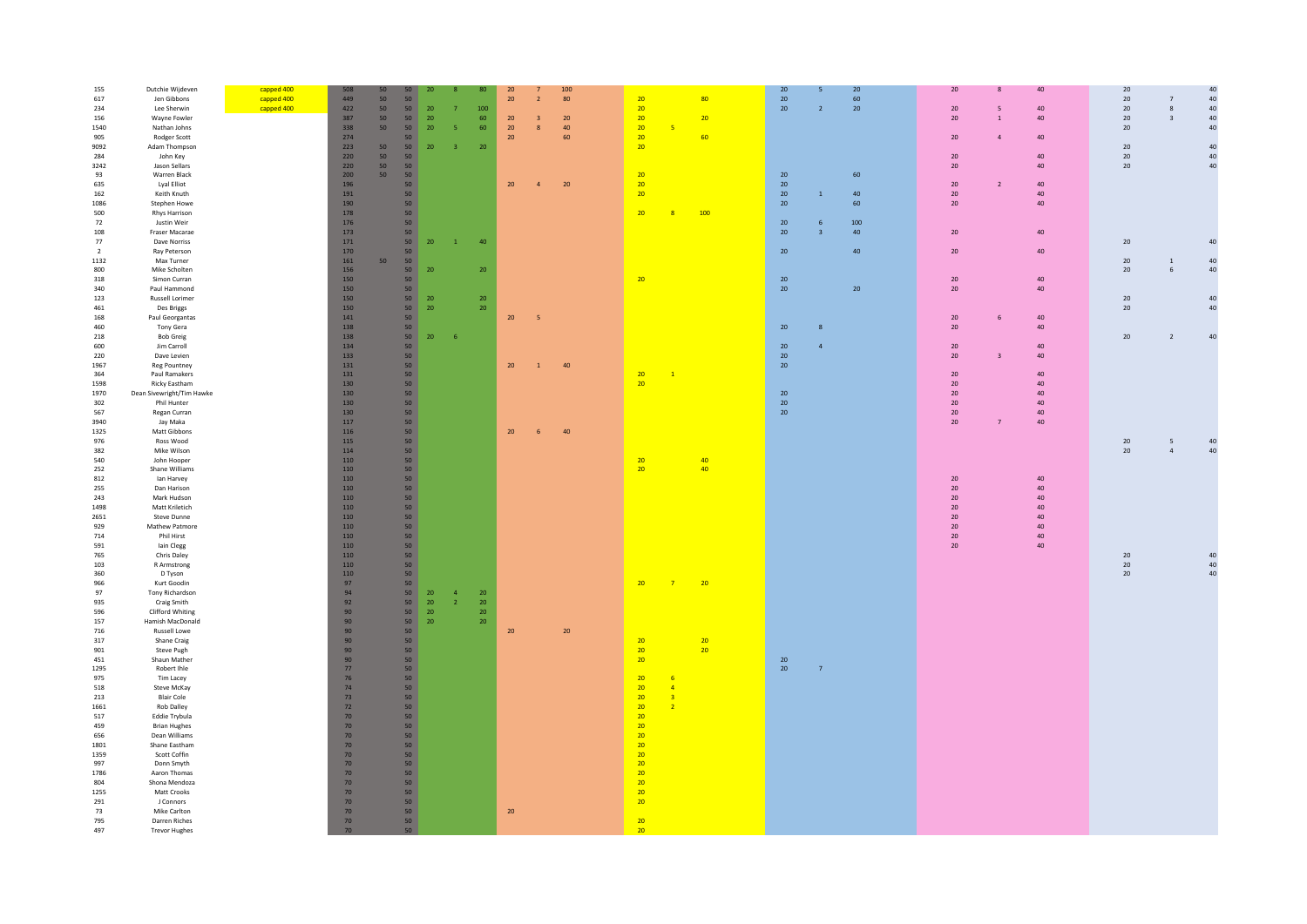|                |                           |            | 508     |                 |                 |            |                         |                 |                 |                         |            |                 |                      |                 |                 |                |     | 20              |                          |    | $20\,$ |                         | $40\,$                                  |
|----------------|---------------------------|------------|---------|-----------------|-----------------|------------|-------------------------|-----------------|-----------------|-------------------------|------------|-----------------|----------------------|-----------------|-----------------|----------------|-----|-----------------|--------------------------|----|--------|-------------------------|-----------------------------------------|
| 155            | Dutchie Wijdeven          | capped 400 |         | 50              |                 | 20         |                         | 80              | 20              |                         | 100        |                 |                      |                 | 20 <sub>2</sub> |                | 20  |                 | 8                        | 40 |        |                         |                                         |
| 617            | Jen Gibbons               | capped 400 | 449     | 50              | 50              |            |                         |                 | 20              | $\overline{2}$          | 80         | 20              |                      | 80              | 20              |                | 60  |                 |                          |    | $20\,$ | $\overline{7}$          | $40\,$                                  |
| 234            | Lee Sherwin               | capped 400 | 422     | 50              | 50              | 20         |                         | 100             |                 |                         |            | 20              |                      |                 | 20              | $\overline{2}$ | 20  | $20\degree$     | $\overline{\phantom{0}}$ | 40 | $20\,$ | $\bf 8$                 | $40\,$                                  |
| 156            | Wayne Fowler              |            | 387     | 50              | 50              | 20         |                         | $60\,$          | $20\,$          | $\overline{\mathbf{3}}$ | ${\bf 20}$ | 20              |                      | 20              |                 |                |     | 20              | $\,$ 1                   | 40 | $20\,$ | $\overline{\mathbf{3}}$ | $40\,$                                  |
|                |                           |            | 338     | 50 <sub>2</sub> | 50              |            | 5                       | 60              | 20 <sub>2</sub> |                         |            | 20 <sub>2</sub> | 5 <sub>o</sub>       |                 |                 |                |     |                 |                          |    |        |                         | $40\,$                                  |
| 1540           | Nathan Johns              |            |         |                 |                 | ${\bf 20}$ |                         |                 |                 | $\boldsymbol{8}$        | $40\,$     |                 |                      |                 |                 |                |     |                 |                          |    | $20\,$ |                         |                                         |
| 905            | Rodger Scott              |            | 274     |                 | 50              |            |                         |                 | 20 <sup>°</sup> |                         | 60         | 20 <sup>°</sup> |                      | 60              |                 |                |     | 20              | $\overline{a}$           | 40 |        |                         |                                         |
| 9092           | Adam Thompson             |            | 223     | 50              | 50              | 20         | $\overline{\mathbf{3}}$ | 20              |                 |                         |            | 20 <sup>2</sup> |                      |                 |                 |                |     |                 |                          |    | 20     |                         | 40                                      |
| 284            | John Key                  |            | 220     | 50              | 50              |            |                         |                 |                 |                         |            |                 |                      |                 |                 |                |     | $20\,$          |                          | 40 | $20\,$ |                         | 40                                      |
|                |                           |            |         |                 |                 |            |                         |                 |                 |                         |            |                 |                      |                 |                 |                |     |                 |                          |    |        |                         |                                         |
| 3242           | Jason Sellars             |            | 220     | 50 <sub>2</sub> | 50              |            |                         |                 |                 |                         |            |                 |                      |                 |                 |                |     | 20              |                          | 40 | $20\,$ |                         | 40                                      |
| 93             | Warren Black              |            | 200     | 50              | 50              |            |                         |                 |                 |                         |            | 20              |                      |                 | 20              |                | 60  |                 |                          |    |        |                         |                                         |
| 635            | Lyal Elliot               |            | 196     |                 | 50              |            |                         |                 | 20 <sup>°</sup> | $\overline{a}$          | $20\,$     | 20 <sup>°</sup> |                      |                 | 20              |                |     | 20              | $\overline{2}$           | 40 |        |                         |                                         |
|                |                           |            |         |                 |                 |            |                         |                 |                 |                         |            |                 |                      |                 |                 |                |     |                 |                          |    |        |                         |                                         |
| 162            | Keith Knuth               |            | 191     |                 | 50              |            |                         |                 |                 |                         |            | 20              |                      |                 | 20              |                | 40  | 20              |                          | 40 |        |                         |                                         |
| 1086           | Stephen Howe              |            | 190     |                 | 50              |            |                         |                 |                 |                         |            |                 |                      |                 | 20              |                | 60  | 20              |                          | 40 |        |                         |                                         |
| 500            | Rhys Harrison             |            | 178     |                 | 50              |            |                         |                 |                 |                         |            | 20 <sup>°</sup> | 8                    | 100             |                 |                |     |                 |                          |    |        |                         |                                         |
|                |                           |            |         |                 |                 |            |                         |                 |                 |                         |            |                 |                      |                 |                 |                |     |                 |                          |    |        |                         |                                         |
| 72             | Justin Weir               |            | 176     |                 | 50 <sub>2</sub> |            |                         |                 |                 |                         |            |                 |                      |                 | 20              | -6             | 100 |                 |                          |    |        |                         |                                         |
| 108            | Fraser Macarae            |            | 173     |                 | 50              |            |                         |                 |                 |                         |            |                 |                      |                 | 20              |                | 40  | 20 <sup>°</sup> |                          | 40 |        |                         |                                         |
| 77             | Dave Norriss              |            | 171     |                 | 50              | 20         | $\vert 1 \vert$         | 40              |                 |                         |            |                 |                      |                 |                 |                |     |                 |                          |    | $20\,$ |                         | 40                                      |
|                |                           |            |         |                 |                 |            |                         |                 |                 |                         |            |                 |                      |                 |                 |                |     |                 |                          |    |        |                         |                                         |
| $\overline{2}$ | Ray Peterson              |            | 170     |                 | 50              |            |                         |                 |                 |                         |            |                 |                      |                 | 20              |                | 40  | 20              |                          | 40 |        |                         |                                         |
| 1132           | Max Turner                |            | 161     | 50              | 50 <sub>2</sub> |            |                         |                 |                 |                         |            |                 |                      |                 |                 |                |     |                 |                          |    | $20\,$ | <sup>1</sup>            | $40\,$                                  |
| 800            | Mike Scholten             |            | 156     |                 | 50 <sub>1</sub> | 20         |                         | 20              |                 |                         |            |                 |                      |                 |                 |                |     |                 |                          |    | 20     | 6                       | 40                                      |
|                |                           |            |         |                 |                 |            |                         |                 |                 |                         |            |                 |                      |                 |                 |                |     |                 |                          |    |        |                         |                                         |
| 318            | Simon Curran              |            | 150     |                 | 50              |            |                         |                 |                 |                         |            | 20              |                      |                 | 20              |                |     | 20              |                          | 40 |        |                         |                                         |
| 340            | Paul Hammond              |            | 150     |                 | 50              |            |                         |                 |                 |                         |            |                 |                      |                 | 20              |                | 20  | 20              |                          | 40 |        |                         |                                         |
| $123\,$        | Russell Lorimer           |            | 150     |                 | 50              | 20         |                         | ${\bf 20}$      |                 |                         |            |                 |                      |                 |                 |                |     |                 |                          |    | $20\,$ | 40                      |                                         |
| 461            | Des Briggs                |            | 150     |                 | 50              | 20         |                         | 20 <sub>2</sub> |                 |                         |            |                 |                      |                 |                 |                |     |                 |                          |    | 20     |                         | 40                                      |
|                |                           |            |         |                 |                 |            |                         |                 |                 |                         |            |                 |                      |                 |                 |                |     |                 |                          |    |        |                         |                                         |
| 168            | Paul Georgantas           |            | 141     |                 | 50              |            |                         |                 | 20 <sup>°</sup> | $-5$                    |            |                 |                      |                 |                 |                |     | 20              | 6                        | 40 |        |                         |                                         |
| 460            | Tony Gera                 |            | 138     |                 | 50              |            |                         |                 |                 |                         |            |                 |                      |                 | 20              | 8              |     | $20\,$          |                          | 40 |        |                         |                                         |
| 218            | <b>Bob Greig</b>          |            | 138     |                 | 50              | $20\,$     | $-6$                    |                 |                 |                         |            |                 |                      |                 |                 |                |     |                 |                          |    | $20\,$ | $\overline{2}$          | 40                                      |
|                |                           |            |         |                 |                 |            |                         |                 |                 |                         |            |                 |                      |                 |                 |                |     |                 |                          |    |        |                         |                                         |
| 600            | Jim Carroll               |            | 134     |                 | 50              |            |                         |                 |                 |                         |            |                 |                      |                 | 20              |                |     | 20              |                          | 40 |        |                         |                                         |
| 220            | Dave Levien               |            | 133     |                 | 50              |            |                         |                 |                 |                         |            |                 |                      |                 | 20              |                |     | 20 <sup>°</sup> | $\overline{3}$           | 40 |        |                         |                                         |
| 1967           | Reg Pountney              |            | 131     |                 | 50              |            |                         |                 | 20              | $\mathbf{1}$            | 40         |                 |                      |                 | 20              |                |     |                 |                          |    |        |                         |                                         |
|                |                           |            |         |                 |                 |            |                         |                 |                 |                         |            |                 |                      |                 |                 |                |     |                 |                          |    |        |                         |                                         |
| 364            | Paul Ramakers             |            | 131     |                 | 50              |            |                         |                 |                 |                         |            | 20              | $\mathbf{1}$         |                 |                 |                |     | 20              |                          | 40 |        |                         |                                         |
| 1598           | Ricky Eastham             |            | 130     |                 | 50              |            |                         |                 |                 |                         |            | 20              |                      |                 |                 |                |     | 20              |                          | 40 |        |                         |                                         |
| 1970           | Dean Sivewright/Tim Hawke |            | 130     |                 | 50              |            |                         |                 |                 |                         |            |                 |                      |                 | 20              |                |     | 20              |                          | 40 |        |                         |                                         |
| 302            | Phil Hunter               |            | 130     |                 | 50              |            |                         |                 |                 |                         |            |                 |                      |                 | 20              |                |     | 20 <sup>°</sup> |                          | 40 |        |                         |                                         |
|                |                           |            |         |                 |                 |            |                         |                 |                 |                         |            |                 |                      |                 |                 |                |     |                 |                          |    |        |                         |                                         |
| 567            | Regan Curran              |            | 130     |                 | 50              |            |                         |                 |                 |                         |            |                 |                      |                 | 20              |                |     | 20              |                          | 40 |        |                         |                                         |
| 3940           | Jay Maka                  |            | $117\,$ |                 | 50              |            |                         |                 |                 |                         |            |                 |                      |                 |                 |                |     | 20              | $\overline{\phantom{a}}$ | 40 |        |                         |                                         |
| 1325           | Matt Gibbons              |            | 116     |                 | 50              |            |                         |                 | 20 <sub>2</sub> | 6                       | 40         |                 |                      |                 |                 |                |     |                 |                          |    |        |                         |                                         |
|                | Ross Wood                 |            | 115     |                 | 50              |            |                         |                 |                 |                         |            |                 |                      |                 |                 |                |     |                 |                          |    | $20\,$ | $5\overline{5}$         |                                         |
| 976            |                           |            |         |                 |                 |            |                         |                 |                 |                         |            |                 |                      |                 |                 |                |     |                 |                          |    |        |                         | $\begin{array}{c} 40 \\ 40 \end{array}$ |
| 382            | Mike Wilson               |            | 114     |                 | 50              |            |                         |                 |                 |                         |            |                 |                      |                 |                 |                |     |                 |                          |    | 20     | $\sqrt{4}$              |                                         |
| 540            | John Hooper               |            | 110     |                 | 50              |            |                         |                 |                 |                         |            | 20              |                      | 40              |                 |                |     |                 |                          |    |        |                         |                                         |
| 252            | Shane Williams            |            | 110     |                 | 50              |            |                         |                 |                 |                         |            | 20              |                      | 40 <sub>1</sub> |                 |                |     |                 |                          |    |        |                         |                                         |
|                |                           |            |         |                 |                 |            |                         |                 |                 |                         |            |                 |                      |                 |                 |                |     |                 |                          |    |        |                         |                                         |
| 812            | lan Harvey                |            | 110     |                 | 50              |            |                         |                 |                 |                         |            |                 |                      |                 |                 |                |     | 20              |                          | 40 |        |                         |                                         |
| 255            | Dan Harison               |            | 110     |                 | 50              |            |                         |                 |                 |                         |            |                 |                      |                 |                 |                |     | 20              |                          | 40 |        |                         |                                         |
| 243            | Mark Hudson               |            | 110     |                 | 50              |            |                         |                 |                 |                         |            |                 |                      |                 |                 |                |     | 20              |                          | 40 |        |                         |                                         |
|                |                           |            |         |                 |                 |            |                         |                 |                 |                         |            |                 |                      |                 |                 |                |     |                 |                          |    |        |                         |                                         |
| 1498           | Matt Kriletich            |            | 110     |                 | 50              |            |                         |                 |                 |                         |            |                 |                      |                 |                 |                |     | 20              |                          | 40 |        |                         |                                         |
| 2651           | Steve Dunne               |            | 110     |                 | 50              |            |                         |                 |                 |                         |            |                 |                      |                 |                 |                |     | 20              |                          | 40 |        |                         |                                         |
| 929            | Mathew Patmore            |            | 110     |                 | 50              |            |                         |                 |                 |                         |            |                 |                      |                 |                 |                |     | 20              |                          | 40 |        |                         |                                         |
| 714            | Phil Hirst                |            | 110     |                 | 50              |            |                         |                 |                 |                         |            |                 |                      |                 |                 |                |     | $20\degree$     |                          | 40 |        |                         |                                         |
|                |                           |            |         |                 |                 |            |                         |                 |                 |                         |            |                 |                      |                 |                 |                |     |                 |                          |    |        |                         |                                         |
| 591            | lain Clegg                |            | 110     |                 | 50              |            |                         |                 |                 |                         |            |                 |                      |                 |                 |                |     | 20              |                          | 40 |        |                         |                                         |
| 765            | Chris Daley               |            | 110     |                 | 50              |            |                         |                 |                 |                         |            |                 |                      |                 |                 |                |     |                 |                          |    | $20\,$ |                         | 40                                      |
| 103            | R Armstrong               |            | 110     |                 | 50              |            |                         |                 |                 |                         |            |                 |                      |                 |                 |                |     |                 |                          |    | $20\,$ |                         | 40                                      |
| 360            | D Tyson                   |            | 110     |                 | 50              |            |                         |                 |                 |                         |            |                 |                      |                 |                 |                |     |                 |                          |    | 20     |                         | 40                                      |
|                |                           |            |         |                 |                 |            |                         |                 |                 |                         |            |                 |                      |                 |                 |                |     |                 |                          |    |        |                         |                                         |
| 966            | Kurt Goodin               |            | 97      |                 | 50              |            |                         |                 |                 |                         |            | 20              | 7 <sup>7</sup>       | 20              |                 |                |     |                 |                          |    |        |                         |                                         |
| 97             | Tony Richardson           |            | 94      |                 | 50 <sub>1</sub> | 20         | $\overline{a}$          | $20\,$          |                 |                         |            |                 |                      |                 |                 |                |     |                 |                          |    |        |                         |                                         |
|                | Craig Smith               |            | 92      |                 | $50-1$          | 20         | $\mathbf{2}$            | ${\bf 20}$      |                 |                         |            |                 |                      |                 |                 |                |     |                 |                          |    |        |                         |                                         |
| 935            |                           |            |         |                 |                 |            |                         |                 |                 |                         |            |                 |                      |                 |                 |                |     |                 |                          |    |        |                         |                                         |
| 596            | Clifford Whiting          |            | 90      |                 | 50              | 20         |                         | $20\,$          |                 |                         |            |                 |                      |                 |                 |                |     |                 |                          |    |        |                         |                                         |
| 157            | Hamish MacDonald          |            | 90      |                 | 50              | 20         |                         | $20\,$          |                 |                         |            |                 |                      |                 |                 |                |     |                 |                          |    |        |                         |                                         |
| 716            | Russell Lowe              |            | 90      |                 | 50              |            |                         |                 | 20              |                         | $20\,$     |                 |                      |                 |                 |                |     |                 |                          |    |        |                         |                                         |
|                |                           |            |         |                 |                 |            |                         |                 |                 |                         |            |                 |                      |                 |                 |                |     |                 |                          |    |        |                         |                                         |
| 317            | Shane Craig               |            | 90      |                 | 50              |            |                         |                 |                 |                         |            | 20              |                      | 20              |                 |                |     |                 |                          |    |        |                         |                                         |
| 901            | Steve Pugh                |            | 90      |                 | 50              |            |                         |                 |                 |                         |            | 20 <sup>2</sup> |                      | 20              |                 |                |     |                 |                          |    |        |                         |                                         |
| 451            | Shaun Mather              |            | 90      |                 | 50              |            |                         |                 |                 |                         |            | 20 <sup>2</sup> |                      |                 | 20              |                |     |                 |                          |    |        |                         |                                         |
| 1295           | Robert Ihle               |            | $77\,$  |                 | 50              |            |                         |                 |                 |                         |            |                 |                      |                 | 20              | $\overline{7}$ |     |                 |                          |    |        |                         |                                         |
|                |                           |            |         |                 |                 |            |                         |                 |                 |                         |            |                 |                      |                 |                 |                |     |                 |                          |    |        |                         |                                         |
| 975            | Tim Lacey                 |            | $76$    |                 | 50              |            |                         |                 |                 |                         |            | 20              | $6\overline{6}$      |                 |                 |                |     |                 |                          |    |        |                         |                                         |
| 518            | Steve McKay               |            | 74      |                 | 50              |            |                         |                 |                 |                         |            | 20              | $\blacktriangleleft$ |                 |                 |                |     |                 |                          |    |        |                         |                                         |
| 213            | <b>Blair Cole</b>         |            | 73      |                 | 50              |            |                         |                 |                 |                         |            | 20              | $\overline{3}$       |                 |                 |                |     |                 |                          |    |        |                         |                                         |
|                |                           |            |         |                 |                 |            |                         |                 |                 |                         |            |                 |                      |                 |                 |                |     |                 |                          |    |        |                         |                                         |
| 1661           | <b>Rob Dalley</b>         |            | 72      |                 | 50              |            |                         |                 |                 |                         |            | 20              | $\overline{2}$       |                 |                 |                |     |                 |                          |    |        |                         |                                         |
| 517            | Eddie Trybula             |            | 70      |                 | 50              |            |                         |                 |                 |                         |            | 20              |                      |                 |                 |                |     |                 |                          |    |        |                         |                                         |
| 459            | <b>Brian Hughes</b>       |            | $70\,$  |                 | 50              |            |                         |                 |                 |                         |            | 20              |                      |                 |                 |                |     |                 |                          |    |        |                         |                                         |
| 656            | Dean Williams             |            | $70\,$  |                 | 50              |            |                         |                 |                 |                         |            | 20 <sup>°</sup> |                      |                 |                 |                |     |                 |                          |    |        |                         |                                         |
|                |                           |            |         |                 |                 |            |                         |                 |                 |                         |            |                 |                      |                 |                 |                |     |                 |                          |    |        |                         |                                         |
| 1801           | Shane Eastham             |            | 70      |                 | 50              |            |                         |                 |                 |                         |            | 20              |                      |                 |                 |                |     |                 |                          |    |        |                         |                                         |
| 1359           | Scott Coffin              |            | 70      |                 | 50              |            |                         |                 |                 |                         |            | 20              |                      |                 |                 |                |     |                 |                          |    |        |                         |                                         |
| 997            | Donn Smyth                |            | $70\,$  |                 | 50              |            |                         |                 |                 |                         |            | 20              |                      |                 |                 |                |     |                 |                          |    |        |                         |                                         |
|                | Aaron Thomas              |            | $70$    |                 | 50              |            |                         |                 |                 |                         |            | 20              |                      |                 |                 |                |     |                 |                          |    |        |                         |                                         |
| 1786           |                           |            |         |                 |                 |            |                         |                 |                 |                         |            |                 |                      |                 |                 |                |     |                 |                          |    |        |                         |                                         |
| 804            | Shona Mendoza             |            | $70$    |                 | 50              |            |                         |                 |                 |                         |            | 20              |                      |                 |                 |                |     |                 |                          |    |        |                         |                                         |
| 1255           | Matt Crooks               |            | 70      |                 | 50              |            |                         |                 |                 |                         |            | 20              |                      |                 |                 |                |     |                 |                          |    |        |                         |                                         |
| 291            | J Connors                 |            | $70$    |                 | 50              |            |                         |                 |                 |                         |            | 20              |                      |                 |                 |                |     |                 |                          |    |        |                         |                                         |
| 73             | Mike Carlton              |            | $70\,$  |                 | 50              |            |                         |                 | $20\,$          |                         |            |                 |                      |                 |                 |                |     |                 |                          |    |        |                         |                                         |
|                |                           |            |         |                 |                 |            |                         |                 |                 |                         |            |                 |                      |                 |                 |                |     |                 |                          |    |        |                         |                                         |
| 795            | Darren Riches             |            | 70      |                 | 50              |            |                         |                 |                 |                         |            | 20              |                      |                 |                 |                |     |                 |                          |    |        |                         |                                         |
| 497            | <b>Trevor Hughes</b>      |            | 70      |                 | 50              |            |                         |                 |                 |                         |            | 20 <sub>2</sub> |                      |                 |                 |                |     |                 |                          |    |        |                         |                                         |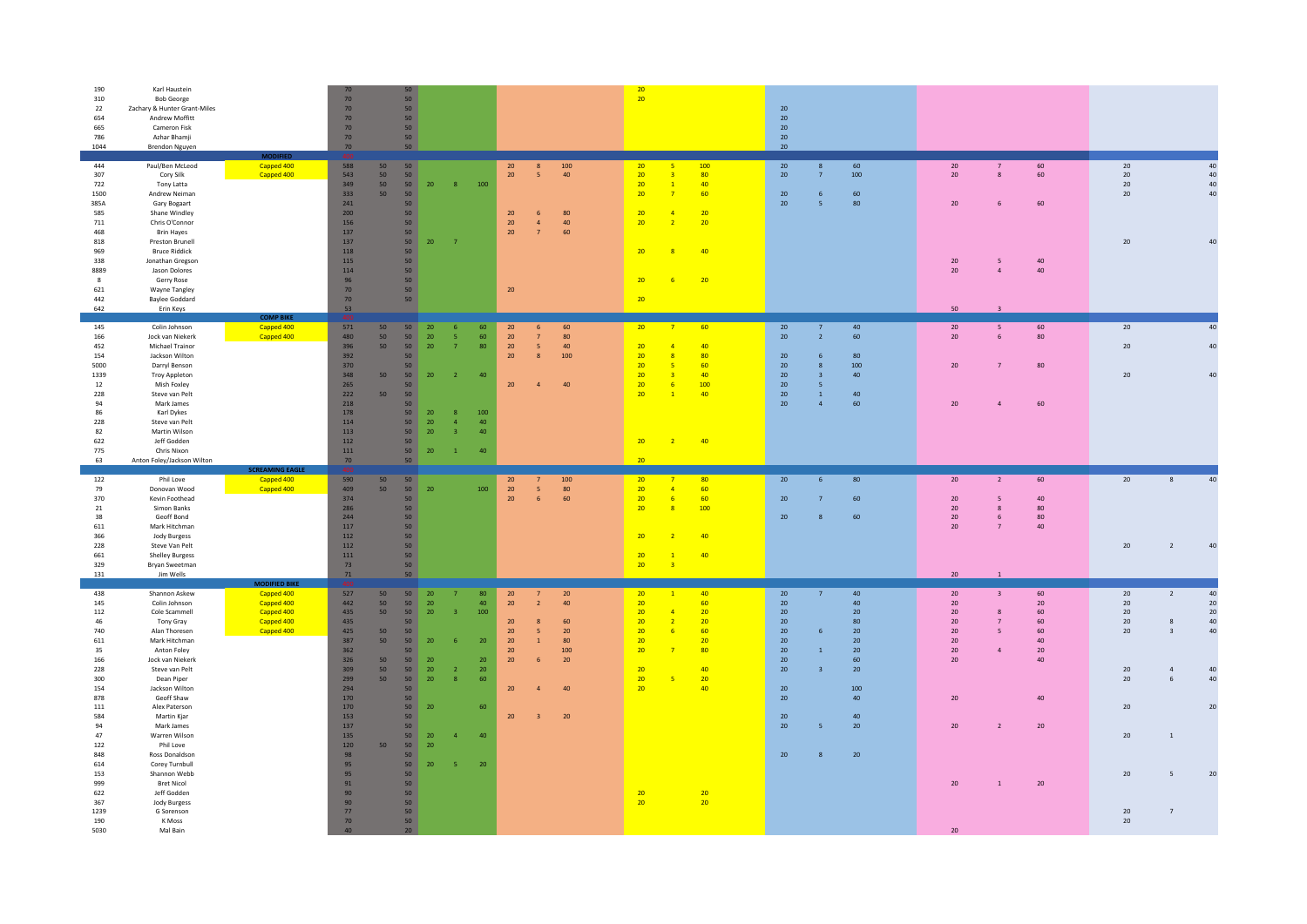| 190<br>310<br>22<br>654<br>665<br>786<br>1044                                                                            | Karl Haustein<br><b>Bob George</b><br>Zachary & Hunter Grant-Miles<br>Andrew Moffitt<br>Cameron Fisk<br>Azhar Bhamii<br>Brendon Nguyen                                                                                                                                                          |                                                                                            | 70<br>70<br>$70\,$<br>70<br>70<br>70                                                                     | 50<br>50<br>50<br>50<br>50<br>50<br>50                                                                                                   |                                                                                                                            |                                                                                                                                                         |                                                                                                                                                                                                   | 20<br>20                                                                                                                                                                                                                     | 20<br>20<br>$20\,$<br>20<br>20                                                                                                                                                                                                           |                                                                                                                                                                                                                  |                                                                                                                                                                |
|--------------------------------------------------------------------------------------------------------------------------|-------------------------------------------------------------------------------------------------------------------------------------------------------------------------------------------------------------------------------------------------------------------------------------------------|--------------------------------------------------------------------------------------------|----------------------------------------------------------------------------------------------------------|------------------------------------------------------------------------------------------------------------------------------------------|----------------------------------------------------------------------------------------------------------------------------|---------------------------------------------------------------------------------------------------------------------------------------------------------|---------------------------------------------------------------------------------------------------------------------------------------------------------------------------------------------------|------------------------------------------------------------------------------------------------------------------------------------------------------------------------------------------------------------------------------|------------------------------------------------------------------------------------------------------------------------------------------------------------------------------------------------------------------------------------------|------------------------------------------------------------------------------------------------------------------------------------------------------------------------------------------------------------------|----------------------------------------------------------------------------------------------------------------------------------------------------------------|
| 444<br>307<br>722<br>1500<br>385A<br>585<br>711<br>468<br>818<br>969<br>338<br>8889<br>$\mathbf{8}$<br>621<br>442<br>642 | Paul/Ben McLeod<br>Cory Silk<br>Tony Latta<br>Andrew Neiman<br>Gary Bogaart<br>Shane Windley<br>Chris O'Connor<br><b>Brin Hayes</b><br>Preston Brunell<br><b>Bruce Riddick</b><br>Jonathan Gregson<br>Jason Dolores<br>Gerry Rose<br><b>Wayne Tangley</b><br><b>Baylee Goddard</b><br>Erin Keys | <b>DIFIED</b><br>Capped 400<br>Capped 400<br><b>COMP BIKE</b>                              | 588<br>543<br>349<br>333<br>241<br>200<br>156<br>137<br>137<br>118<br>115<br>114<br>96<br>70<br>70<br>53 | 50<br>50<br>50<br>50<br>50<br>50<br>50<br>50<br>50<br>50<br>50<br>50<br>50<br>50<br>50<br>50<br>50<br>50<br>50                           | 20<br>20                                                                                                                   | 100<br>$\mathbf{R}$<br>$\overline{7}$                                                                                                                   | 20<br>100<br>8<br>40<br>20<br>$-5$<br>20<br>80<br>6<br>20<br>40<br>$\overline{a}$<br>20<br>60<br>$\overline{7}$<br>20                                                                             | 20<br>100<br>80<br>20<br>$\overline{3}$<br>20<br>40<br>$-1$<br>20<br>60<br>20<br>20 <sub>2</sub><br>$\overline{a}$<br>20<br>20<br>$\overline{2}$<br>20<br>40<br>20<br>20<br>20                                               | 20<br>60<br>100<br>20<br>$\overline{7}$<br>60<br>20<br>-6<br>20<br>80<br>$\overline{5}$                                                                                                                                                  | $20\,$<br>60<br>60<br>20<br>$\mathbf{R}$<br>20<br>60<br>6<br>40<br>20<br>5<br>40<br>20<br>$\overline{a}$<br>50<br>$\overline{\mathbf{3}}$                                                                        | 20<br>40<br>$20\,$<br>40<br>20<br>40<br>20<br>40<br>20<br>$\Delta \Omega$                                                                                      |
| 145<br>166<br>452<br>154<br>5000<br>1339<br>12<br>228<br>94<br>86<br>228<br>82<br>622<br>775<br>63                       | Colin Johnson<br>Jock van Niekerk<br>Michael Trainor<br>Jackson Wilton<br>Darryl Benson<br><b>Troy Appleton</b><br>Mish Foxley<br>Steve van Pelt<br>Mark lames<br>Karl Dykes<br>Steve van Pelt<br>Martin Wilson<br>leff Godden<br>Chris Nixon<br>Anton Foley/Jackson Wilton                     | Capped 400<br>Capped 400<br><b>SCREAMING EAGLE</b>                                         | 571<br>480<br>396<br>392<br>370<br>348<br>265<br>222<br>218<br>178<br>114<br>113<br>112<br>111<br>70     | 50<br>50<br>50<br>50<br>50<br>50<br>50<br>50<br>50<br>50<br>50<br>50<br>50<br>50<br>50<br>50<br>50<br>50<br>50<br>50                     | 20 <sub>2</sub><br>20 <sup>°</sup><br>20 <sup>°</sup><br>20<br>20 <sup>°</sup><br>20 <sub>2</sub><br>20 <sub>2</sub><br>20 | 60<br>6<br>60<br>-5<br>$\overline{7}$<br>80<br>40<br>$\overline{2}$<br>100<br>8<br>$\overline{a}$<br>40<br>40<br>$\overline{3}$<br>40<br>$\overline{1}$ | 60<br>20<br>-6<br>20<br>80<br>$7^{\circ}$<br>20<br>5 <sup>5</sup><br>40<br>20<br>100<br>8<br>20<br>40                                                                                             | 20<br>60<br>$\overline{7}$<br>20<br>40<br>$\overline{A}$<br>20<br>80<br>$\mathbf{R}$<br>$-20$<br>60<br>20<br>40<br>20<br>-6<br>100<br>20<br>40<br>$-1$<br>20<br>40<br>$\sqrt{2}$<br>20                                       | 20<br>40<br>$7\overline{ }$<br>$20\,$<br>$\overline{2}$<br>60<br>20<br>80<br>6<br>$20\,$<br>100<br>$\mathbf{R}$<br>20<br>40<br>$\overline{\mathbf{3}}$<br>20<br>5 <sub>o</sub><br>20<br>40<br>$\mathbf{1}$<br>20<br>60<br>$\overline{a}$ | 60<br>20<br>5<br>$20\,$<br>80<br>6<br>20<br>$\overline{7}$<br>80<br>60<br>20<br>$\overline{A}$                                                                                                                   | 20<br>40<br>40<br>20<br>20<br>40                                                                                                                               |
| 122<br>79<br>370<br>21<br>38<br>611<br>366<br>228<br>661<br>329<br>131                                                   | Phil Love<br>Donovan Wood<br>Kevin Foothead<br>Simon Banks<br>Geoff Bond<br>Mark Hitchman<br>Jody Burgess<br>Steve Van Pelt<br><b>Shelley Burgess</b><br>Bryan Sweetman<br>Jim Wells                                                                                                            | Capped 400<br>Capped 400                                                                   | 590<br>409<br>374<br>286<br>244<br>117<br>112<br>112<br>$111\,$<br>73<br>$71\,$                          | 50<br>50<br>50<br>50<br>50<br>50<br>50<br>50<br>50<br>50<br>50<br>50<br>50                                                               | 20                                                                                                                         | 100                                                                                                                                                     | 100<br>20<br>7<br>20<br>80<br>$-5$<br>20<br>60<br>6                                                                                                                                               | 20 <sup>°</sup><br>$\overline{7}$<br>80<br>20<br>$\overline{4}$<br>60<br>20<br>60<br>$-6$<br>20<br>$\overline{\mathbf{R}}$<br>100<br>40<br>20<br>20<br>40<br>$\overline{1}$<br>20<br>$\overline{3}$                          | 80<br>20<br>6<br>$20\,$<br>60<br>$\overline{7}$<br>20<br>8<br>60                                                                                                                                                                         | 20<br>60<br>2<br>$20\,$<br>40<br>5<br>20<br>80<br>8<br>20<br>6<br>80<br>40<br>20<br>-7<br>20<br>$1$ $\,$                                                                                                         | 20<br>40<br>8<br>20<br>40<br>$\overline{2}$                                                                                                                    |
| 438<br>145<br>112<br>46<br>740<br>611<br>35<br>166<br>228<br>300<br>154<br>878                                           | Shannon Askew<br>Colin Johnson<br>Cole Scammell<br>Tony Gray<br>Alan Thoresen<br>Mark Hitchman<br>Anton Foley<br><b>Jock van Niekerk</b><br>Steve van Pelt<br>Dean Piper<br>Jackson Wilton                                                                                                      | <b>MODIFIED BIKE</b><br>Capped 400<br>Capped 400<br>Capped 400<br>Capped 400<br>Capped 400 | 527<br>442<br>435<br>435<br>425<br>387<br>362<br>326<br>309<br>299<br>294                                | 50<br>50<br>50<br>50<br>50<br>50<br>50<br>50<br>50<br>50<br>50<br>50 <sub>1</sub><br>50<br>50<br>50<br>50<br>50<br>50<br>50 <sub>1</sub> | 20 <sup>°</sup><br>20<br>20<br>20 <sub>2</sub><br>20<br>20 <sup>°</sup><br>20 <sub>2</sub>                                 | 80<br>40<br>$100 -$<br>$\mathbf{R}$<br>20 <sub>2</sub><br>20 <sup>°</sup><br>20<br>$\overline{2}$<br>60                                                 | 20<br>20<br>20<br>$\overline{2}$<br>40<br>20<br>60<br>$\mathbf{R}$<br>$\overline{\mathbf{5}}$<br>$20\,$<br>20<br>20<br>$\mathbf{1}$<br>80<br>100 <sub>1</sub><br>20<br>20<br>20<br>-6<br>20<br>40 | 20<br>40 <sub>2</sub><br>$\vert 1 \vert$<br>60<br>20<br>20<br>20 <sup>°</sup><br>$\overline{A}$<br>20<br>20<br>$\overline{2}$<br>20<br>60<br>6<br>20<br>20<br>20<br>$\overline{7}$<br>80<br>20<br>40<br>20<br>20<br>20<br>40 | 20<br>$\overline{7}$<br>40<br>20<br>40<br>20<br>20<br>20<br>80<br>20<br>20<br>6<br>20<br>20<br>20<br>20<br>$\mathbf{1}$<br>20<br>60<br>$20\,$<br>20<br>$\overline{3}$<br>20<br>100<br>20<br>40                                           | 20<br>$\overline{\mathbf{3}}$<br>60<br>20<br>20 <sub>2</sub><br>60<br>20<br>-8<br>60<br>20<br>$\overline{7}$<br>$20\,$<br>60<br>5<br>20<br>40<br>20 <sup>°</sup><br>20<br>$\overline{A}$<br>40<br>20<br>20<br>40 | 20<br>$\overline{2}$<br>40<br>20<br>20<br>20<br>20<br>20<br>40<br>-8<br>20<br>$40\,$<br>$\overline{\mathbf{3}}$<br>20<br>40<br>$\overline{4}$<br>20<br>6<br>40 |
| 111<br>584<br>94<br>47<br>122<br>848<br>614<br>153<br>999<br>622<br>367                                                  | Geoff Shaw<br>Alex Paterson<br>Martin Kjar<br>Mark James<br>Warren Wilson<br>Phillove<br>Ross Donaldson<br>Corey Turnbull<br>Shannon Webb<br><b>Bret Nicol</b><br>Jeff Godden<br><b>Jody Burgess</b>                                                                                            |                                                                                            | 170<br>170<br>153<br>137<br>135<br>120<br>98<br>95<br>95<br>91<br>90<br>90                               | 50<br>50<br>50<br>50<br>50<br>50<br>50 <sup>°</sup><br>50<br>50<br>50<br>50<br>50<br>50                                                  | 20<br>20<br>20<br>20                                                                                                       | 60<br>40<br>$\overline{a}$<br>20 <sub>2</sub>                                                                                                           | 20<br>20                                                                                                                                                                                          | 20<br>20 <sub>2</sub><br>20<br>20 <sub>2</sub>                                                                                                                                                                               | 20<br>40<br>20<br>20<br>20<br>$20\,$<br>$\mathbf{R}$                                                                                                                                                                                     | 20<br>$\overline{2}$<br>20 <sub>2</sub><br>20<br>20<br>$\overline{1}$                                                                                                                                            | 20<br>20<br>20<br>$\overline{1}$<br>2 <sup>0</sup><br>20<br>5 <sub>5</sub>                                                                                     |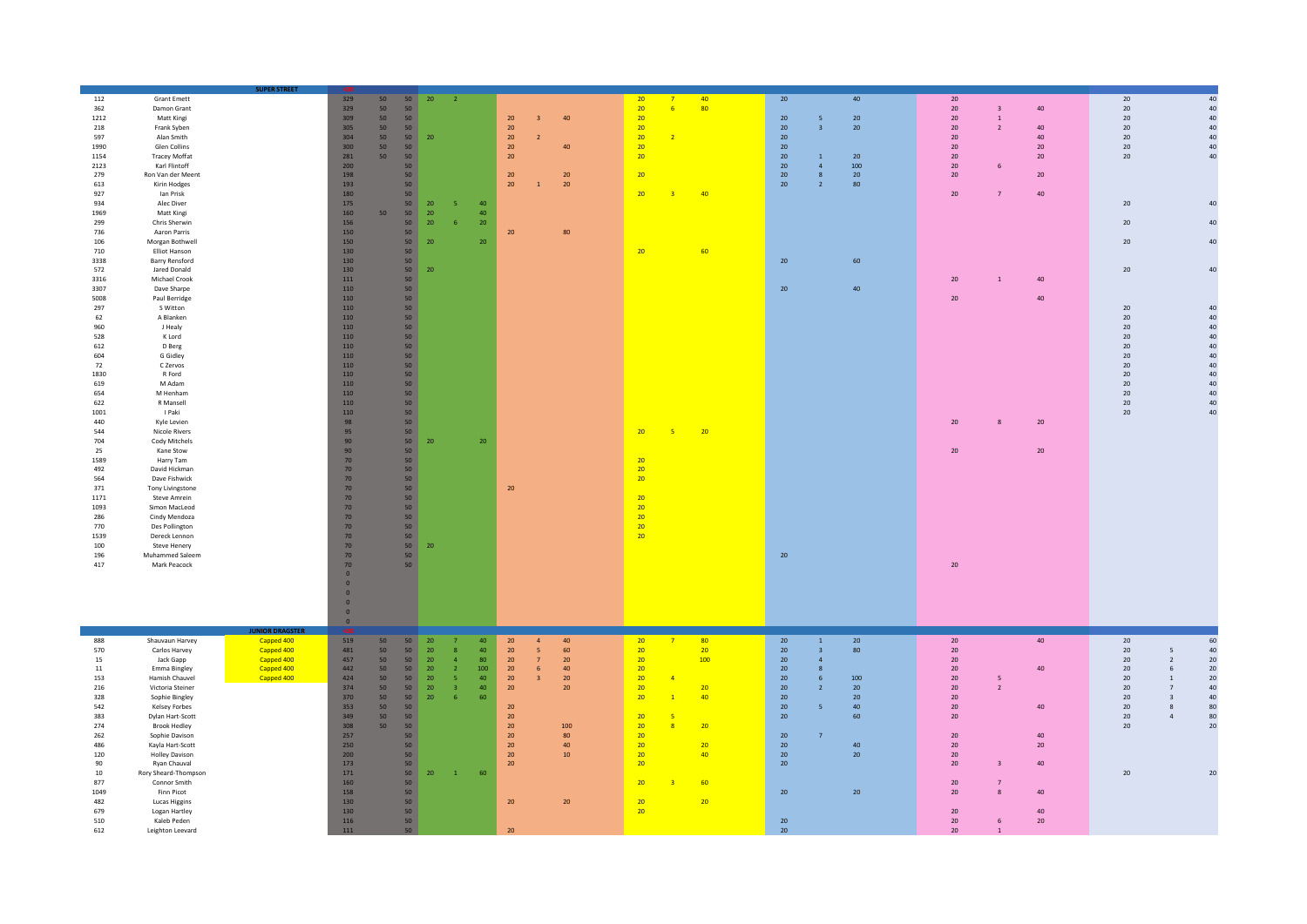|              |                                    | <b>SUPER STREET</b>      |                                         |                 |                                                |                                  |                 |                                                          |                                |                 |          |                                           |                       |                                    |                                  |        |                 |                                     |
|--------------|------------------------------------|--------------------------|-----------------------------------------|-----------------|------------------------------------------------|----------------------------------|-----------------|----------------------------------------------------------|--------------------------------|-----------------|----------|-------------------------------------------|-----------------------|------------------------------------|----------------------------------|--------|-----------------|-------------------------------------|
| 112          | <b>Grant Emett</b>                 |                          | 329                                     | 50              | 50<br>20 <sub>2</sub>                          | $\overline{\phantom{a}}$ 2       |                 |                                                          | 20<br>$\overline{7}$           | 40 <sub>1</sub> | 20       |                                           | 40                    | $20\degree$                        |                                  |        | 20              | $40\,$                              |
| 362          | Damon Grant                        |                          | 329                                     | 50<br>50        |                                                |                                  |                 |                                                          | 20<br>6                        | 80              |          |                                           |                       | 20                                 | $\overline{\mathbf{3}}$          | $40\,$ | 20              | 40                                  |
| 1212<br>218  | Matt Kingi<br>Frank Syben          |                          | 309<br>305                              | 50<br>50        | 50<br>50                                       |                                  |                 | 20<br>40<br>$\overline{\mathbf{3}}$<br>20                | 20<br>20                       |                 | 20<br>20 | 5 <sub>o</sub><br>$\overline{\mathbf{3}}$ | 20<br>20 <sub>2</sub> | 20 <sub>2</sub><br>20 <sub>2</sub> | $\overline{1}$<br>$\overline{2}$ | $40\,$ | 20<br>20        | 40<br>40                            |
| 597          | Alan Smith                         |                          | 304                                     | 50              | 50<br>20                                       |                                  |                 | 20<br>$\overline{2}$                                     | 20<br>$\overline{2}$           |                 | 20       |                                           |                       | 20 <sub>2</sub>                    |                                  | 40     | 20              | 40                                  |
| 1990         | <b>Glen Collins</b>                |                          | 300                                     | 50<br>50        |                                                |                                  |                 | 20<br>40                                                 | 20                             |                 | 20       |                                           |                       | 20                                 |                                  | $20\,$ | 20              | 40                                  |
| 1154         | <b>Tracey Moffat</b>               |                          | 281                                     | 50<br>50        |                                                |                                  |                 | 20                                                       | 20                             |                 | 20       | $\overline{1}$                            | 20                    | 20                                 |                                  | $20\,$ | 20              | 40                                  |
| 2123         | Karl Flintoff                      |                          | 200<br>198                              | 50 <sub>2</sub> | 50                                             |                                  |                 | 20<br>20 <sup>°</sup>                                    | 20                             |                 | 20       | $\overline{4}$<br>8                       | 100                   | 20 <sub>2</sub>                    |                                  | $20\,$ |                 |                                     |
| 279<br>613   | Ron Van der Meent<br>Kirin Hodges  |                          | 193                                     |                 | 50                                             |                                  |                 | 20<br>$\overline{1}$<br>20 <sub>2</sub>                  |                                |                 | 20<br>20 | $\overline{2}$                            | 20<br>80              | 20 <sub>2</sub>                    |                                  |        |                 |                                     |
| 927          | Ian Prisk                          |                          | 180                                     |                 | 50                                             |                                  |                 |                                                          | 20<br>$\overline{3}$           | 40              |          |                                           |                       | 20                                 | $\overline{7}$                   | 40     |                 |                                     |
| 934          | Alec Diver                         |                          | 175                                     |                 | 50<br>20                                       |                                  | 40              |                                                          |                                |                 |          |                                           |                       |                                    |                                  |        | 20              | 40                                  |
| 1969         | Matt Kingi                         |                          | 160                                     | 50              | 50<br>20                                       |                                  | 40              |                                                          |                                |                 |          |                                           |                       |                                    |                                  |        |                 |                                     |
| 299<br>736   | Chris Sherwin                      |                          | 156<br>150                              |                 | 50<br>20<br>50                                 |                                  | 20 <sub>2</sub> | 20<br>80                                                 |                                |                 |          |                                           |                       |                                    |                                  |        | 20              | 40                                  |
| 106          | Aaron Parris<br>Morgan Bothwell    |                          | 150                                     |                 | 50<br>20                                       |                                  | 20 <sup>°</sup> |                                                          |                                |                 |          |                                           |                       |                                    |                                  |        | 20              | 40                                  |
| 710          | Elliot Hanson                      |                          | 130                                     |                 | 50                                             |                                  |                 |                                                          | 20                             | 60              |          |                                           |                       |                                    |                                  |        |                 |                                     |
| 3338         | <b>Barry Rensford</b>              |                          | 130                                     |                 | 50                                             |                                  |                 |                                                          |                                |                 | 20       |                                           | 60                    |                                    |                                  |        |                 |                                     |
| 572          | Jared Donald                       |                          | 130                                     |                 | 50<br>20 <sub>2</sub>                          |                                  |                 |                                                          |                                |                 |          |                                           |                       |                                    |                                  |        | 20              | $40\,$                              |
| 3316         | Michael Crook                      |                          | 111                                     |                 | 50                                             |                                  |                 |                                                          |                                |                 |          |                                           |                       | 20                                 | <sup>1</sup>                     | $40\,$ |                 |                                     |
| 3307<br>5008 | Dave Sharpe<br>Paul Berridge       |                          | 110<br>110                              |                 | 50<br>50                                       |                                  |                 |                                                          |                                |                 | $20\,$   |                                           | 40                    | 20 <sub>2</sub>                    |                                  | $40\,$ |                 |                                     |
| 297          | S Witton                           |                          | 110                                     |                 | 50                                             |                                  |                 |                                                          |                                |                 |          |                                           |                       |                                    |                                  |        | 20              | 40                                  |
| 62           | A Blanken                          |                          | 110                                     |                 | 50                                             |                                  |                 |                                                          |                                |                 |          |                                           |                       |                                    |                                  |        | 20              | 40                                  |
| 960          | J Healy                            |                          | 110                                     |                 | 50                                             |                                  |                 |                                                          |                                |                 |          |                                           |                       |                                    |                                  |        | 20              | 40                                  |
| 528          | K Lord                             |                          | 110                                     |                 | 50                                             |                                  |                 |                                                          |                                |                 |          |                                           |                       |                                    |                                  |        | 20              | 40                                  |
| 612          | D Berg                             |                          | 110                                     |                 | 50                                             |                                  |                 |                                                          |                                |                 |          |                                           |                       |                                    |                                  |        | 20              | 40                                  |
| 604<br>72    | G Gidley<br>C Zervos               |                          | 110<br>110                              |                 | 50<br>50                                       |                                  |                 |                                                          |                                |                 |          |                                           |                       |                                    |                                  |        | 20<br>20        | 40<br>40                            |
| 1830         | R Ford                             |                          | 110                                     | 50              |                                                |                                  |                 |                                                          |                                |                 |          |                                           |                       |                                    |                                  |        | 20              | 40                                  |
| 619          | M Adam                             |                          | 110                                     | 50              |                                                |                                  |                 |                                                          |                                |                 |          |                                           |                       |                                    |                                  |        | 20              | 40                                  |
| 654          | M Henham                           |                          | 110                                     |                 | 50                                             |                                  |                 |                                                          |                                |                 |          |                                           |                       |                                    |                                  |        | 20 <sup>°</sup> | 40                                  |
| 622          | R Mansell                          |                          | 110                                     |                 | 50 <sub>2</sub>                                |                                  |                 |                                                          |                                |                 |          |                                           |                       |                                    |                                  |        | 20              | 40                                  |
| 1001         | I Paki                             |                          | 110                                     |                 | 50                                             |                                  |                 |                                                          |                                |                 |          |                                           |                       |                                    |                                  |        | 20              | 40                                  |
| 440<br>544   | Kyle Levien<br>Nicole Rivers       |                          | 98<br>95                                |                 | 50<br>50                                       |                                  |                 |                                                          | 20<br>$-5$                     | 20              |          |                                           |                       | $20\,$                             |                                  | $20\,$ |                 |                                     |
| 704          | Cody Mitchels                      |                          | 90                                      |                 | 50<br>20                                       |                                  | 20 <sub>2</sub> |                                                          |                                |                 |          |                                           |                       |                                    |                                  |        |                 |                                     |
| 25           | Kane Stow                          |                          | 90                                      |                 | 50                                             |                                  |                 |                                                          |                                |                 |          |                                           |                       | 20                                 |                                  | $20\,$ |                 |                                     |
| 1589         | Harry Tam                          |                          | 70                                      | 50              |                                                |                                  |                 |                                                          | 20                             |                 |          |                                           |                       |                                    |                                  |        |                 |                                     |
| 492          | David Hickman                      |                          | 70                                      |                 | 50                                             |                                  |                 |                                                          | 20                             |                 |          |                                           |                       |                                    |                                  |        |                 |                                     |
| 564<br>371   | Dave Fishwick<br>Tony Livingstone  |                          | $70$<br>$70$                            |                 | 50<br>50                                       |                                  |                 | 20                                                       | 20                             |                 |          |                                           |                       |                                    |                                  |        |                 |                                     |
| 1171         | Steve Amrein                       |                          | 70                                      |                 | 50                                             |                                  |                 |                                                          | 20                             |                 |          |                                           |                       |                                    |                                  |        |                 |                                     |
| 1093         | Simon MacLeod                      |                          | $70\,$                                  |                 | 50                                             |                                  |                 |                                                          | 20                             |                 |          |                                           |                       |                                    |                                  |        |                 |                                     |
| 286          | Cindy Mendoza                      |                          | 70                                      |                 | 50                                             |                                  |                 |                                                          | 20                             |                 |          |                                           |                       |                                    |                                  |        |                 |                                     |
| 770          | Des Pollington                     |                          | 70                                      |                 | 50                                             |                                  |                 |                                                          | 20                             |                 |          |                                           |                       |                                    |                                  |        |                 |                                     |
| 1539         | Dereck Lennon                      |                          | 70                                      | 50              |                                                |                                  |                 |                                                          | 20                             |                 |          |                                           |                       |                                    |                                  |        |                 |                                     |
| 100          | Steve Henery                       |                          | 70<br>$70\,$                            | 50              | 50<br>20                                       |                                  |                 |                                                          |                                |                 | 20       |                                           |                       |                                    |                                  |        |                 |                                     |
| 196<br>417   | Muhammed Saleem<br>Mark Peacock    |                          | $70$                                    |                 | 50 <sub>2</sub>                                |                                  |                 |                                                          |                                |                 |          |                                           |                       | 20                                 |                                  |        |                 |                                     |
|              |                                    |                          | $\mathbf{0}$                            |                 |                                                |                                  |                 |                                                          |                                |                 |          |                                           |                       |                                    |                                  |        |                 |                                     |
|              |                                    |                          | $\overline{0}$                          |                 |                                                |                                  |                 |                                                          |                                |                 |          |                                           |                       |                                    |                                  |        |                 |                                     |
|              |                                    |                          | $\mathbf{0}$                            |                 |                                                |                                  |                 |                                                          |                                |                 |          |                                           |                       |                                    |                                  |        |                 |                                     |
|              |                                    |                          | $\overline{0}$                          |                 |                                                |                                  |                 |                                                          |                                |                 |          |                                           |                       |                                    |                                  |        |                 |                                     |
|              |                                    |                          | $\mathbf{0}$<br>$\overline{\mathbf{0}}$ |                 |                                                |                                  |                 |                                                          |                                |                 |          |                                           |                       |                                    |                                  |        |                 |                                     |
|              |                                    | <b>JUNIOR DRAGSTER</b>   |                                         |                 |                                                |                                  |                 |                                                          |                                |                 |          |                                           |                       |                                    |                                  |        |                 |                                     |
| 888          | Shauvaun Harvey                    | Capped 400               | 519                                     | 50              | 50<br>20                                       |                                  | 40              | 20<br>$\overline{4}$<br>40                               | 20<br>$-7$                     | 80 <sub>2</sub> | 20       | $\mathbf{1}$                              | 20                    | 20                                 |                                  | 40     | 20              | 60                                  |
| 570          | Carlos Harvey                      | Capped 400               | 481                                     | 50 <sub>2</sub> | 50<br>20                                       | $\mathbf{R}$                     | 40              | 20<br>5 <sub>1</sub><br>60                               | 20                             | 20 <sup>2</sup> | 20       | $\overline{\mathbf{3}}$                   | 80                    | 20                                 |                                  |        | 20              | 40<br>5                             |
| 15<br>11     | Jack Gapp<br>Emma Bingley          | Capped 400<br>Capped 400 | 457<br>442                              | 50<br>50        | 50<br>20 <sup>°</sup><br>50<br>20 <sub>2</sub> | $\overline{a}$<br>$\overline{2}$ | 80<br>100       | 20<br>20<br>7 <sup>7</sup><br>20<br>6 <sup>1</sup><br>40 | 20<br>20                       | 100             | 20<br>20 | $\overline{4}$<br>$\bf 8$                 |                       | 20<br>20 <sub>2</sub>              |                                  | $40\,$ | 20<br>20        | 20<br>$\overline{2}$<br>$20\,$<br>6 |
| 153          | Hamish Chauvel                     | Capped 400               | 424                                     | 50              | 50<br>20 <sub>2</sub>                          | -5                               | 40              | 20<br>$\overline{\mathbf{3}}$<br>20 <sub>2</sub>         | 20<br>$\overline{4}$           |                 | 20       | $6\phantom{.}6$                           | 100                   | $20\degree$                        | 5                                |        | 20              | 20<br>$\mathbf{1}$                  |
| 216          | Victoria Steiner                   |                          | 374                                     | 50<br>50        | 20                                             | $\overline{3}$                   | 40              | 20<br>20                                                 | 20                             | 20              | 20       | $\overline{2}$                            | 20                    | 20                                 | $\overline{2}$                   |        | 20              | $\overline{7}$<br>40                |
| 328          | Sophie Bingley                     |                          | 370                                     | 50<br>50        | 20                                             |                                  | 60              |                                                          | 20<br>$\overline{1}$           | 40              | 20       |                                           | 20                    | 20                                 |                                  |        | 20              | 40<br>$\overline{\mathbf{3}}$       |
| 542          | Kelsey Forbes                      |                          | 353                                     | 50<br>50        |                                                |                                  |                 | 20                                                       |                                |                 | 20       | $\overline{\mathbf{5}}$                   | 40                    | 20                                 |                                  | 40     | 20              | 80<br>8                             |
| 383          | Dylan Hart-Scott                   |                          | 349                                     | 50<br>50        |                                                |                                  |                 | 20                                                       | 20<br>$\overline{\phantom{0}}$ |                 | 20       |                                           | 60                    | 20 <sub>2</sub>                    |                                  |        | 20              | $\overline{4}$<br>80                |
| 274<br>262   | <b>Brook Hedley</b>                |                          | 308<br>257                              | 50<br>50        | 50                                             |                                  |                 | 20<br>100<br>20<br>80                                    | 20<br>$\overline{8}$<br>20     | 20              | 20       | $\overline{7}$                            |                       | 20                                 |                                  | 40     | 20              | 20                                  |
| 486          | Sophie Davison<br>Kayla Hart-Scott |                          | 250                                     |                 | 50                                             |                                  |                 | 20<br>40                                                 | 20                             | 20              | 20       |                                           | 40                    | 20                                 |                                  | 20     |                 |                                     |
| 120          | <b>Holley Davison</b>              |                          | 200                                     |                 | 50                                             |                                  |                 | 20<br>10                                                 | 20                             | 40              | 20       |                                           | $20\degree$           | $20\degree$                        |                                  |        |                 |                                     |
| 90           | Ryan Chauval                       |                          | 173                                     |                 | 50                                             |                                  |                 | 20                                                       | 20                             |                 | 20       |                                           |                       | 20 <sub>2</sub>                    | $\overline{\mathbf{3}}$          | 40     |                 |                                     |
| 10           | Rory Sheard-Thompson               |                          | 171                                     |                 | 50<br>20 <sub>2</sub>                          | $\overline{1}$                   | 60              |                                                          |                                |                 |          |                                           |                       |                                    |                                  |        | 20              | $20\,$                              |
| 877          | Connor Smith                       |                          | 160                                     |                 | 50                                             |                                  |                 |                                                          | 20                             | 60              |          |                                           |                       | 20                                 | $\overline{7}$                   |        |                 |                                     |
| 1049<br>482  | Finn Picot                         |                          | 158                                     |                 | 50                                             |                                  |                 |                                                          |                                | 20              | $20\,$   |                                           | 20                    | 20 <sub>2</sub>                    | $\mathbf{R}$                     | $40\,$ |                 |                                     |
| 679          | Lucas Higgins<br>Logan Hartley     |                          | 130<br>130                              |                 | 50<br>50                                       |                                  |                 | $20\,$<br>$20\,$                                         | 20<br>20 <sub>2</sub>          |                 |          |                                           |                       | 20                                 |                                  | $40\,$ |                 |                                     |
| 510          | Kaleb Peden                        |                          | 116                                     |                 | 50                                             |                                  |                 |                                                          |                                |                 | 20       |                                           |                       | 20 <sup>°</sup>                    | 6                                | 20     |                 |                                     |
| 612          | Leighton Leevard                   |                          | 111                                     |                 | 50                                             |                                  |                 | 20                                                       |                                |                 | 20       |                                           |                       | 20                                 |                                  |        |                 |                                     |